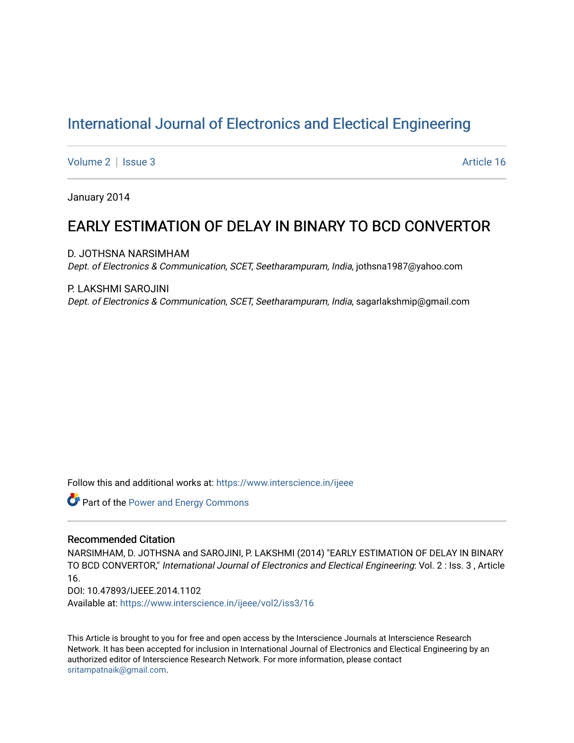# [International Journal of Electronics and Electical Engineering](https://www.interscience.in/ijeee)

[Volume 2](https://www.interscience.in/ijeee/vol2) | [Issue 3](https://www.interscience.in/ijeee/vol2/iss3) Article 16

January 2014

## EARLY ESTIMATION OF DELAY IN BINARY TO BCD CONVERTOR

D. JOTHSNA NARSIMHAM Dept. of Electronics & Communication, SCET, Seetharampuram, India, jothsna1987@yahoo.com

P. LAKSHMI SAROJINI

Dept. of Electronics & Communication, SCET, Seetharampuram, India, sagarlakshmip@gmail.com

Follow this and additional works at: [https://www.interscience.in/ijeee](https://www.interscience.in/ijeee?utm_source=www.interscience.in%2Fijeee%2Fvol2%2Fiss3%2F16&utm_medium=PDF&utm_campaign=PDFCoverPages)

**Part of the Power and Energy Commons** 

### Recommended Citation

NARSIMHAM, D. JOTHSNA and SAROJINI, P. LAKSHMI (2014) "EARLY ESTIMATION OF DELAY IN BINARY TO BCD CONVERTOR," International Journal of Electronics and Electical Engineering: Vol. 2 : Iss. 3 , Article 16.

DOI: 10.47893/IJEEE.2014.1102

Available at: [https://www.interscience.in/ijeee/vol2/iss3/16](https://www.interscience.in/ijeee/vol2/iss3/16?utm_source=www.interscience.in%2Fijeee%2Fvol2%2Fiss3%2F16&utm_medium=PDF&utm_campaign=PDFCoverPages)

This Article is brought to you for free and open access by the Interscience Journals at Interscience Research Network. It has been accepted for inclusion in International Journal of Electronics and Electical Engineering by an authorized editor of Interscience Research Network. For more information, please contact [sritampatnaik@gmail.com](mailto:sritampatnaik@gmail.com).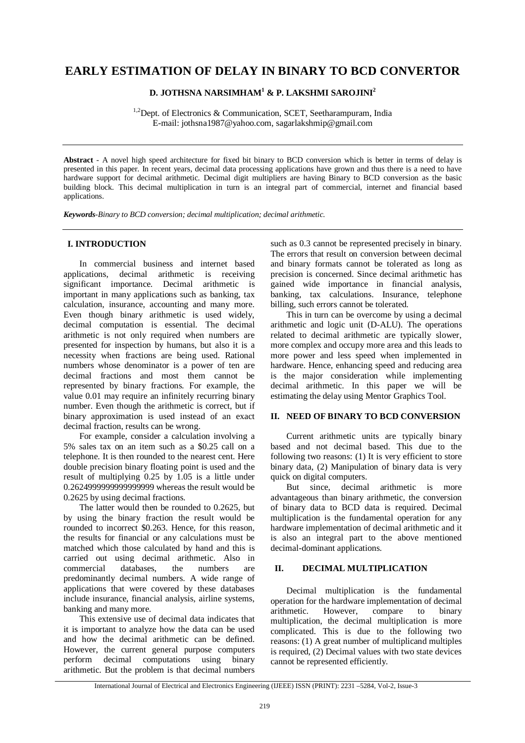## **EARLY ESTIMATION OF DELAY IN BINARY TO BCD CONVERTOR**

### **D. JOTHSNA NARSIMHAM<sup>1</sup> & P. LAKSHMI SAROJINI<sup>2</sup>**

<sup>1,2</sup>Dept. of Electronics & Communication, SCET, Seetharampuram, India E-mail: jothsna1987@yahoo.com, sagarlakshmip@gmail.com

**Abstract** *-* A novel high speed architecture for fixed bit binary to BCD conversion which is better in terms of delay is presented in this paper. In recent years, decimal data processing applications have grown and thus there is a need to have hardware support for decimal arithmetic. Decimal digit multipliers are having Binary to BCD conversion as the basic building block. This decimal multiplication in turn is an integral part of commercial, internet and financial based applications.

*Keywords-Binary to BCD conversion; decimal multiplication; decimal arithmetic.*

#### **I. INTRODUCTION**

In commercial business and internet based applications, decimal arithmetic is receiving significant importance. Decimal arithmetic is important in many applications such as banking, tax calculation, insurance, accounting and many more. Even though binary arithmetic is used widely, decimal computation is essential. The decimal arithmetic is not only required when numbers are presented for inspection by humans, but also it is a necessity when fractions are being used. Rational numbers whose denominator is a power of ten are decimal fractions and most them cannot be represented by binary fractions. For example, the value 0.01 may require an infinitely recurring binary number. Even though the arithmetic is correct, but if binary approximation is used instead of an exact decimal fraction, results can be wrong.

For example, consider a calculation involving a 5% sales tax on an item such as a \$0.25 call on a telephone. It is then rounded to the nearest cent. Here double precision binary floating point is used and the result of multiplying 0.25 by 1.05 is a little under 0.2624999999999999999 whereas the result would be 0.2625 by using decimal fractions.

The latter would then be rounded to 0.2625, but by using the binary fraction the result would be rounded to incorrect \$0.263. Hence, for this reason, the results for financial or any calculations must be matched which those calculated by hand and this is carried out using decimal arithmetic. Also in commercial databases, the numbers are predominantly decimal numbers. A wide range of applications that were covered by these databases include insurance, financial analysis, airline systems, banking and many more.

This extensive use of decimal data indicates that it is important to analyze how the data can be used and how the decimal arithmetic can be defined. However, the current general purpose computers perform decimal computations using binary arithmetic. But the problem is that decimal numbers

such as 0.3 cannot be represented precisely in binary. The errors that result on conversion between decimal and binary formats cannot be tolerated as long as precision is concerned. Since decimal arithmetic has gained wide importance in financial analysis, banking, tax calculations. Insurance, telephone billing, such errors cannot be tolerated.

This in turn can be overcome by using a decimal arithmetic and logic unit (D-ALU). The operations related to decimal arithmetic are typically slower, more complex and occupy more area and this leads to more power and less speed when implemented in hardware. Hence, enhancing speed and reducing area is the major consideration while implementing decimal arithmetic. In this paper we will be estimating the delay using Mentor Graphics Tool.

#### **II. NEED OF BINARY TO BCD CONVERSION**

Current arithmetic units are typically binary based and not decimal based. This due to the following two reasons: (1) It is very efficient to store binary data, (2) Manipulation of binary data is very quick on digital computers.

But since, decimal arithmetic is more advantageous than binary arithmetic, the conversion of binary data to BCD data is required. Decimal multiplication is the fundamental operation for any hardware implementation of decimal arithmetic and it is also an integral part to the above mentioned decimal-dominant applications.

#### **II. DECIMAL MULTIPLICATION**

Decimal multiplication is the fundamental operation for the hardware implementation of decimal arithmetic. However, compare to binary multiplication, the decimal multiplication is more complicated. This is due to the following two reasons: (1) A great number of multiplicand multiples is required, (2) Decimal values with two state devices cannot be represented efficiently.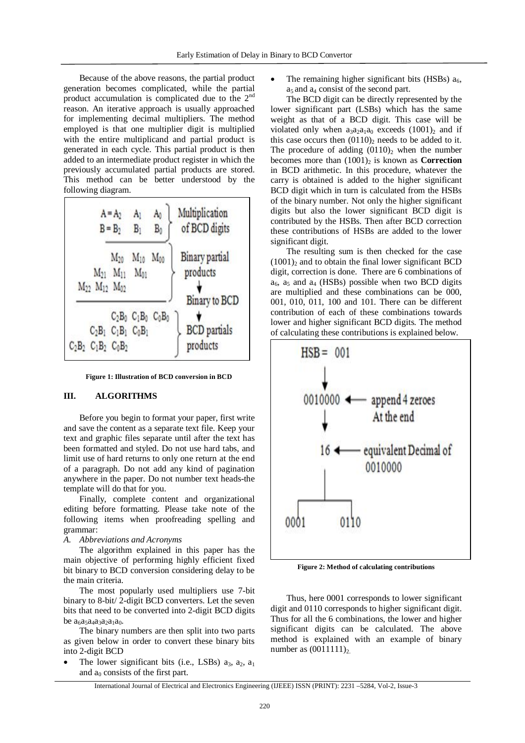Because of the above reasons, the partial product generation becomes complicated, while the partial product accumulation is complicated due to the 2nd reason. An iterative approach is usually approached for implementing decimal multipliers. The method employed is that one multiplier digit is multiplied with the entire multiplicand and partial product is generated in each cycle. This partial product is then added to an intermediate product register in which the previously accumulated partial products are stored. This method can be better understood by the following diagram.



**Figure 1: Illustration of BCD conversion in BCD**

#### **III. ALGORITHMS**

Before you begin to format your paper, first write and save the content as a separate text file. Keep your text and graphic files separate until after the text has been formatted and styled. Do not use hard tabs, and limit use of hard returns to only one return at the end of a paragraph. Do not add any kind of pagination anywhere in the paper. Do not number text heads-the template will do that for you.

Finally, complete content and organizational editing before formatting. Please take note of the following items when proofreading spelling and grammar:

#### *A. Abbreviations and Acronyms*

The algorithm explained in this paper has the main objective of performing highly efficient fixed bit binary to BCD conversion considering delay to be the main criteria.

The most popularly used multipliers use 7-bit binary to 8-bit/ 2-digit BCD converters. Let the seven bits that need to be converted into 2-digit BCD digits be  $a_6a_5a_4a_3a_2a_1a_0$ .

The binary numbers are then split into two parts as given below in order to convert these binary bits into 2-digit BCD

The lower significant bits (i.e., LSBs)  $a_3$ ,  $a_2$ ,  $a_1$ and  $a_0$  consists of the first part.

The remaining higher significant bits (HSBs)  $a<sub>6</sub>$ ,  $a_5$  and  $a_4$  consist of the second part.

The BCD digit can be directly represented by the lower significant part (LSBs) which has the same weight as that of a BCD digit. This case will be violated only when  $a_3a_2a_1a_0$  exceeds  $(1001)_2$  and if this case occurs then  $(0110)_2$  needs to be added to it. The procedure of adding  $(0110)_2$  when the number becomes more than  $(1001)$ <sub>2</sub> is known as **Correction** in BCD arithmetic. In this procedure, whatever the carry is obtained is added to the higher significant BCD digit which in turn is calculated from the HSBs of the binary number. Not only the higher significant digits but also the lower significant BCD digit is contributed by the HSBs. Then after BCD correction these contributions of HSBs are added to the lower significant digit.

The resulting sum is then checked for the case  $(1001)$ <sub>2</sub> and to obtain the final lower significant BCD digit, correction is done. There are 6 combinations of  $a_6$ ,  $a_5$  and  $a_4$  (HSBs) possible when two BCD digits are multiplied and these combinations can be 000, 001, 010, 011, 100 and 101. There can be different contribution of each of these combinations towards lower and higher significant BCD digits. The method of calculating these contributions is explained below.



**Figure 2: Method of calculating contributions**

Thus, here 0001 corresponds to lower significant digit and 0110 corresponds to higher significant digit. Thus for all the 6 combinations, the lower and higher significant digits can be calculated. The above method is explained with an example of binary number as  $(0011111)_2$ .

International Journal of Electrical and Electronics Engineering (IJEEE) ISSN (PRINT): 2231 –5284, Vol-2, Issue-3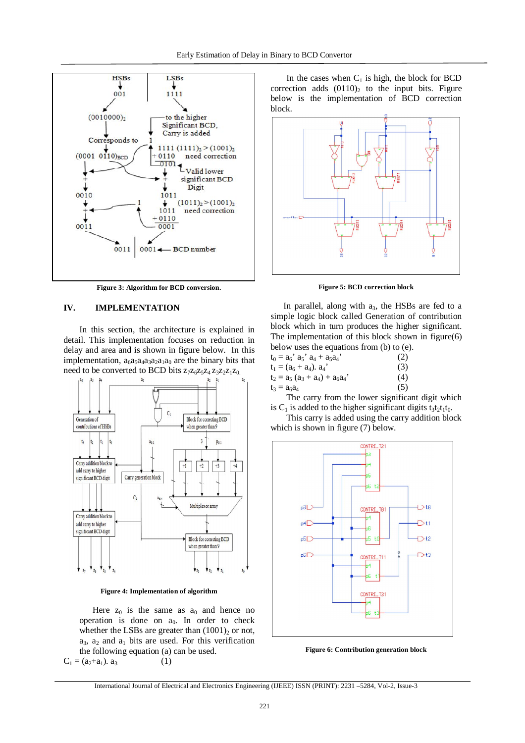

**Figure 3: Algorithm for BCD conversion**.

#### **IV. IMPLEMENTATION**

In this section, the architecture is explained in detail. This implementation focuses on reduction in delay and area and is shown in figure below. In this implementation,  $a_6a_5a_4a_3a_2a_1a_0$  are the binary bits that need to be converted to BCD bits  $z_7z_6z_5z_4z_3z_2z_1z_0$ .



**Figure 4: Implementation of algorithm**

Here  $z_0$  is the same as  $a_0$  and hence no operation is done on  $a_0$ . In order to check whether the LSBs are greater than  $(1001)_2$  or not,  $a_3$ ,  $a_2$  and  $a_1$  bits are used. For this verification the following equation (a) can be used.  $C_1 = (a_2 + a_1). a_3$  (1)

In the cases when  $C_1$  is high, the block for BCD correction adds  $(0110)<sub>2</sub>$  to the input bits. Figure below is the implementation of BCD correction block.



**Figure 5: BCD correction block**

In parallel, along with  $a_3$ , the HSBs are fed to a simple logic block called Generation of contribution block which in turn produces the higher significant. The implementation of this block shown in figure(6) below uses the equations from (b) to (e).

| $t_0 = a_6$ ' $a_5$ ' $a_4 + a_5 a_4$ ' | (2) |
|-----------------------------------------|-----|
| $t_1 = (a_6 + a_4) a_4$                 | (3) |
| $t_2 = a_5 (a_3 + a_4) + a_6 a_4$       | (4) |
| $t_3 = a_6 a_4$                         | (5) |

The carry from the lower significant digit which is  $C_1$  is added to the higher significant digits t<sub>3</sub>t<sub>2</sub>t<sub>1</sub>t<sub>0</sub>.

This carry is added using the carry addition block which is shown in figure (7) below.



**Figure 6: Contribution generation block**

International Journal of Electrical and Electronics Engineering (IJEEE) ISSN (PRINT): 2231 –5284, Vol-2, Issue-3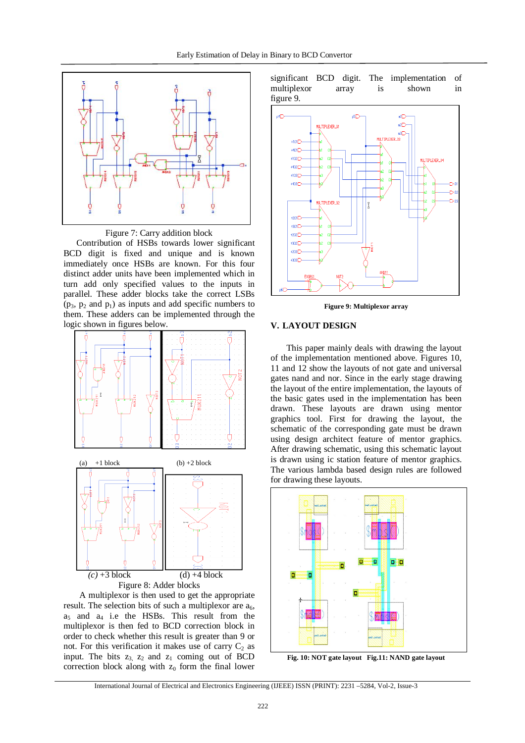



BCD digit is fixed and unique and is known immediately once HSBs are known. For this four distinct adder units have been implemented which in turn add only specified values to the inputs in parallel. These adder blocks take the correct LSBs  $(p_3, p_2 \text{ and } p_1)$  as inputs and add specific numbers to them. These adders can be implemented through the logic shown in figures below.



A multiplexor is then used to get the appropriate result. The selection bits of such a multiplexor are  $a_6$ ,  $a<sub>5</sub>$  and  $a<sub>4</sub>$  i.e the HSBs. This result from the multiplexor is then fed to BCD correction block in order to check whether this result is greater than 9 or not. For this verification it makes use of carry  $C_2$  as input. The bits  $z_3$ ,  $z_2$  and  $z_1$  coming out of BCD correction block along with  $z_0$  form the final lower

significant BCD digit. The implementation of multiplexor array is shown in figure 9.



**Figure 9: Multiplexor array**

#### **V. LAYOUT DESIGN**

This paper mainly deals with drawing the layout of the implementation mentioned above. Figures 10, 11 and 12 show the layouts of not gate and universal gates nand and nor. Since in the early stage drawing the layout of the entire implementation, the layouts of the basic gates used in the implementation has been drawn. These layouts are drawn using mentor graphics tool. First for drawing the layout, the schematic of the corresponding gate must be drawn using design architect feature of mentor graphics. After drawing schematic, using this schematic layout is drawn using ic station feature of mentor graphics. The various lambda based design rules are followed for drawing these layouts.



**Fig. 10: NOT gate layout Fig.11: NAND gate layout**

International Journal of Electrical and Electronics Engineering (IJEEE) ISSN (PRINT): 2231 –5284, Vol-2, Issue-3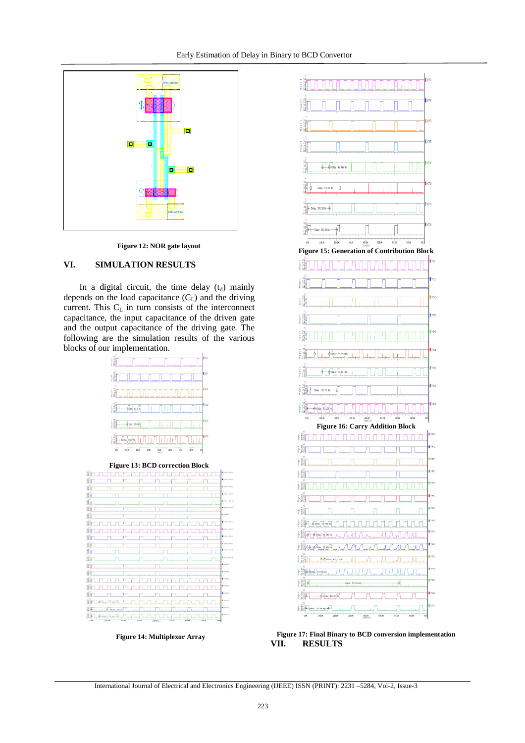

**Figure 12: NOR gate layout**

#### **VI. SIMULATION RESULTS**

In a digital circuit, the time delay  $(t_d)$  mainly depends on the load capacitance  $(C<sub>L</sub>)$  and the driving current. This  $C_L$  in turn consists of the interconnect capacitance, the input capacitance of the driven gate and the output capacitance of the driving gate. The following are the simulation results of the various blocks of our implementation.







 **Figure 14: Multiplexor Array**



**Figure 17: Final Binary to BCD conversion implementation VII. RESULTS**